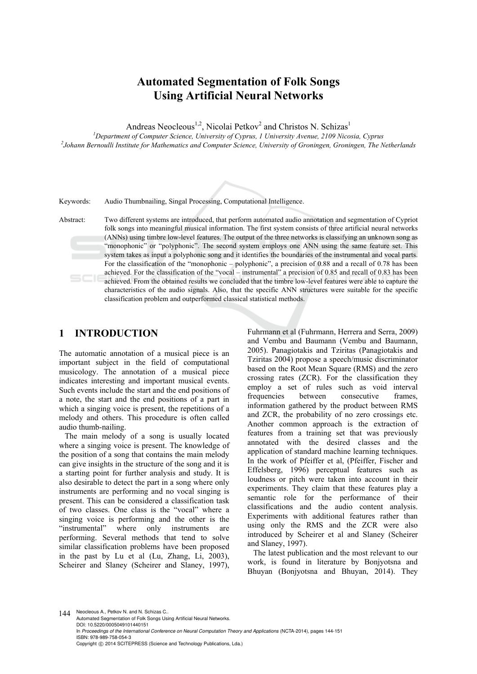# **Automated Segmentation of Folk Songs Using Artificial Neural Networks**

Andreas Neocleous<sup>1,2</sup>, Nicolai Petkov<sup>2</sup> and Christos N. Schizas<sup>1</sup>

<sup>1</sup><br>
<sup>1</sup> Department of Computer Science, University of Cyprus, 1 University Avenue, 2109 Nicosia, Cyprus<br>
<sup>2</sup> Johann Bamoulli Institute for Mathematics and Computer Science, University of Croningen, Groningen, The N *Johann Bernoulli Institute for Mathematics and Computer Science, University of Groningen, Groningen, The Netherlands* 

Keywords: Audio Thumbnailing, Singal Processing, Computational Intelligence.

Abstract: Two different systems are introduced, that perform automated audio annotation and segmentation of Cypriot folk songs into meaningful musical information. The first system consists of three artificial neural networks (ANNs) using timbre low-level features. The output of the three networks is classifying an unknown song as "monophonic" or "polyphonic". The second system employs one ANN using the same feature set. This system takes as input a polyphonic song and it identifies the boundaries of the instrumental and vocal parts. For the classification of the "monophonic – polyphonic", a precision of 0.88 and a recall of 0.78 has been achieved. For the classification of the "vocal – instrumental" a precision of 0.85 and recall of 0.83 has been achieved. From the obtained results we concluded that the timbre low-level features were able to capture the characteristics of the audio signals. Also, that the specific ANN structures were suitable for the specific classification problem and outperformed classical statistical methods.

# **1 INTRODUCTION**

The automatic annotation of a musical piece is an important subject in the field of computational musicology. The annotation of a musical piece indicates interesting and important musical events. Such events include the start and the end positions of a note, the start and the end positions of a part in which a singing voice is present, the repetitions of a melody and others. This procedure is often called audio thumb-nailing.

The main melody of a song is usually located where a singing voice is present. The knowledge of the position of a song that contains the main melody can give insights in the structure of the song and it is a starting point for further analysis and study. It is also desirable to detect the part in a song where only instruments are performing and no vocal singing is present. This can be considered a classification task of two classes. One class is the "vocal" where a singing voice is performing and the other is the "instrumental" where only instruments are performing. Several methods that tend to solve similar classification problems have been proposed in the past by Lu et al (Lu, Zhang, Li, 2003), Scheirer and Slaney (Scheirer and Slaney, 1997),

Fuhrmann et al (Fuhrmann, Herrera and Serra, 2009) and Vembu and Baumann (Vembu and Baumann, 2005). Panagiotakis and Tziritas (Panagiotakis and Tziritas 2004) propose a speech/music discriminator based on the Root Mean Square (RMS) and the zero crossing rates (ZCR). For the classification they employ a set of rules such as void interval frequencies between consecutive frames, information gathered by the product between RMS and ZCR, the probability of no zero crossings etc. Another common approach is the extraction of features from a training set that was previously annotated with the desired classes and the application of standard machine learning techniques. In the work of Pfeiffer et al, (Pfeiffer, Fischer and Effelsberg, 1996) perceptual features such as loudness or pitch were taken into account in their experiments. They claim that these features play a semantic role for the performance of their classifications and the audio content analysis. Experiments with additional features rather than using only the RMS and the ZCR were also introduced by Scheirer et al and Slaney (Scheirer and Slaney, 1997).

The latest publication and the most relevant to our work, is found in literature by Bonjyotsna and Bhuyan (Bonjyotsna and Bhuyan, 2014). They

144 Neocleous A., Petkov N. and N. Schizas C. Automated Segmentation of Folk Songs Using Artificial Neural Networks. DOI: 10.5220/0005049101440151 In *Proceedings of the International Conference on Neural Computation Theory and Applications* (NCTA-2014), pages 144-151 ISBN: 978-989-758-054-3 Copyright © 2014 SCITEPRESS (Science and Technology Publications, Lda.)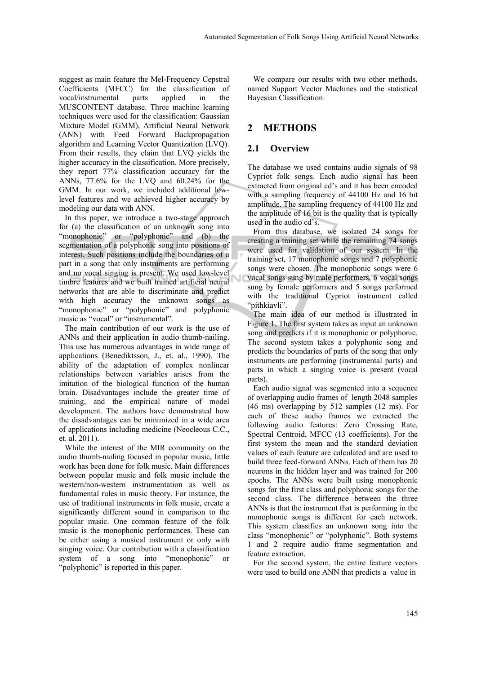suggest as main feature the Mel-Frequency Cepstral Coefficients (MFCC) for the classification of vocal/instrumental parts applied in the MUSCONTENT database. Three machine learning techniques were used for the classification: Gaussian Mixture Model (GMM), Artificial Neural Network (ANN) with Feed Forward Backpropagation algorithm and Learning Vector Quantization (LVQ). From their results, they claim that LVQ yields the higher accuracy in the classification. More precisely, they report 77% classification accuracy for the ANNs, 77.6% for the LVQ and 60.24% for the GMM. In our work, we included additional lowlevel features and we achieved higher accuracy by modeling our data with ANN.

In this paper, we introduce a two-stage approach for (a) the classification of an unknown song into "monophonic" or "polyphonic" and (b) the segmentation of a polyphonic song into positions of interest. Such positions include the boundaries of a part in a song that only instruments are performing and no vocal singing is present. We used low-level timbre features and we built trained artificial neural networks that are able to discriminate and predict with high accuracy the unknown songs as "monophonic" or "polyphonic" and polyphonic music as "vocal" or "instrumental".

The main contribution of our work is the use of ANNs and their application in audio thumb-nailing. This use has numerous advantages in wide range of applications (Benediktsson, J., et. al., 1990). The ability of the adaptation of complex nonlinear relationships between variables arises from the imitation of the biological function of the human brain. Disadvantages include the greater time of training, and the empirical nature of model development. The authors have demonstrated how the disadvantages can be minimized in a wide area of applications including medicine (Neocleous C.C., et. al. 2011).

While the interest of the MIR community on the audio thumb-nailing focused in popular music, little work has been done for folk music. Main differences between popular music and folk music include the western/non-western instrumentation as well as fundamental rules in music theory. For instance, the use of traditional instruments in folk music, create a significantly different sound in comparison to the popular music. One common feature of the folk music is the monophonic performances. These can be either using a musical instrument or only with singing voice. Our contribution with a classification system of a song into "monophonic" or "polyphonic" is reported in this paper.

We compare our results with two other methods, named Support Vector Machines and the statistical Bayesian Classification.

# **2 METHODS**

# **2.1 Overview**

The database we used contains audio signals of 98 Cypriot folk songs. Each audio signal has been extracted from original cd's and it has been encoded with a sampling frequency of 44100 Hz and 16 bit amplitude. The sampling frequency of 44100 Hz and the amplitude of 16 bit is the quality that is typically used in the audio cd's.

From this database, we isolated 24 songs for creating a training set while the remaining 74 songs were used for validation of our system. In the training set, 17 monophonic songs and 7 polyphonic songs were chosen. The monophonic songs were 6 vocal songs sung by male performers, 6 vocal songs sung by female performers and 5 songs performed with the traditional Cypriot instrument called "pithkiavli".

The main idea of our method is illustrated in Figure 1. The first system takes as input an unknown song and predicts if it is monophonic or polyphonic. The second system takes a polyphonic song and predicts the boundaries of parts of the song that only instruments are performing (instrumental parts) and parts in which a singing voice is present (vocal parts).

Each audio signal was segmented into a sequence of overlapping audio frames of length 2048 samples (46 ms) overlapping by 512 samples (12 ms). For each of these audio frames we extracted the following audio features: Zero Crossing Rate, Spectral Centroid, MFCC (13 coefficients). For the first system the mean and the standard deviation values of each feature are calculated and are used to build three feed-forward ANNs. Each of them has 20 neurons in the hidden layer and was trained for 200 epochs. The ANNs were built using monophonic songs for the first class and polyphonic songs for the second class. The difference between the three ANNs is that the instrument that is performing in the monophonic songs is different for each network. This system classifies an unknown song into the class "monophonic" or "polyphonic". Both systems 1 and 2 require audio frame segmentation and feature extraction.

For the second system, the entire feature vectors were used to build one ANN that predicts a value in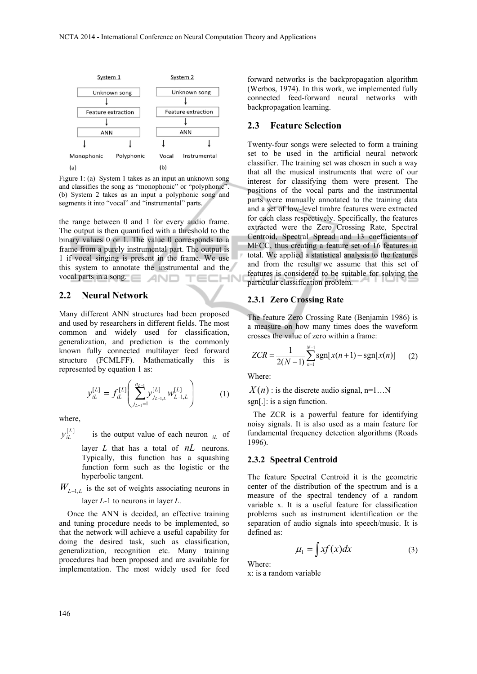

Figure 1: (a) System 1 takes as an input an unknown song and classifies the song as "monophonic" or "polyphonic". (b) System 2 takes as an input a polyphonic song and segments it into "vocal" and "instrumental" parts.

the range between 0 and 1 for every audio frame. The output is then quantified with a threshold to the binary values 0 or 1. The value 0 corresponds to a frame from a purely instrumental part. The output is 1 if vocal singing is present in the frame. We use this system to annotate the instrumental and the vocal parts in a song. **ECHN** 

### **2.2 Neural Network**

Many different ANN structures had been proposed and used by researchers in different fields. The most common and widely used for classification, generalization, and prediction is the commonly known fully connected multilayer feed forward structure (FCMLFF). Mathematically this is represented by equation 1 as:

$$
\mathcal{Y}_{iL}^{[L]} = f_{iL}^{[L]} \left( \sum_{j_{L-1}=1}^{n_{L-1}} \mathcal{Y}_{j_{L-1,L}}^{[L]} w_{L-1,L}^{[L]} \right) \tag{1}
$$

where,

- $y_{iL}^{[L]}$ is the output value of each neuron  $i\in$  of layer *L* that has a total of *nL* neurons. Typically, this function has a squashing function form such as the logistic or the hyperbolic tangent.
- $W_{L-1,L}$  is the set of weights associating neurons in layer *L*-1 to neurons in layer *L*.

Once the ANN is decided, an effective training and tuning procedure needs to be implemented, so that the network will achieve a useful capability for doing the desired task, such as classification, generalization, recognition etc. Many training procedures had been proposed and are available for implementation. The most widely used for feed

forward networks is the backpropagation algorithm (Werbos, 1974). In this work, we implemented fully connected feed-forward neural networks with backpropagation learning.

#### **2.3 Feature Selection**

Twenty-four songs were selected to form a training set to be used in the artificial neural network classifier. The training set was chosen in such a way that all the musical instruments that were of our interest for classifying them were present. The positions of the vocal parts and the instrumental parts were manually annotated to the training data and a set of low-level timbre features were extracted for each class respectively. Specifically, the features extracted were the Zero Crossing Rate, Spectral Centroid, Spectral Spread and 13 coefficients of MFCC, thus creating a feature set of 16 features in total. We applied a statistical analysis to the features and from the results we assume that this set of features is considered to be suitable for solving the particular classification problem.

#### **2.3.1 Zero Crossing Rate**

The feature Zero Crossing Rate (Benjamin 1986) is a measure on how many times does the waveform crosses the value of zero within a frame:

$$
ZCR = \frac{1}{2(N-1)} \sum_{n=1}^{N-1} \text{sgn}[x(n+1) - \text{sgn}[x(n)] \qquad (2)
$$

Where:

 $X(n)$ : is the discrete audio signal, n=1...N

sgn[.]: is a sign function.

The ZCR is a powerful feature for identifying noisy signals. It is also used as a main feature for fundamental frequency detection algorithms (Roads 1996).

#### **2.3.2 Spectral Centroid**

The feature Spectral Centroid it is the geometric center of the distribution of the spectrum and is a measure of the spectral tendency of a random variable x. It is a useful feature for classification problems such as instrument identification or the separation of audio signals into speech/music. It is defined as:

$$
\mu_1 = \int x f(x) dx \tag{3}
$$

Where:

x: is a random variable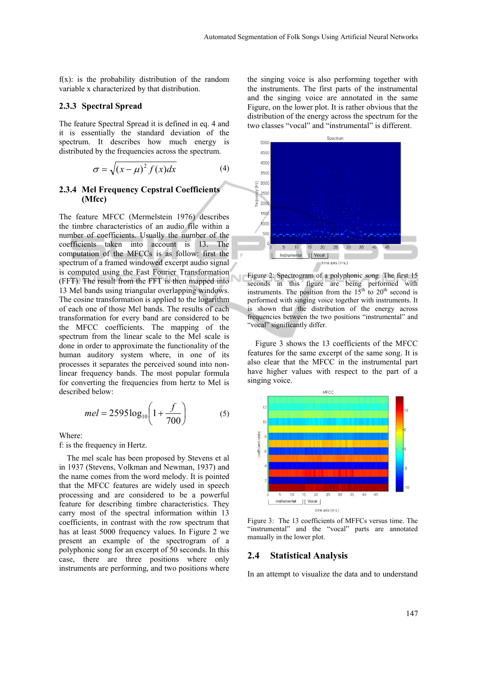$f(x)$ : is the probability distribution of the random variable x characterized by that distribution.

#### **2.3.3 Spectral Spread**

The feature Spectral Spread it is defined in eq. 4 and it is essentially the standard deviation of the spectrum. It describes how much energy is distributed by the frequencies across the spectrum.

$$
\sigma = \sqrt{(x - \mu)^2 f(x)} dx
$$
 (4)

#### **2.3.4 Mel Frequency Cepstral Coefficients (Mfcc)**

The feature MFCC (Mermelstein 1976) describes the timbre characteristics of an audio file within a number of coefficients. Usually the number of the coefficients taken into account is 13. The computation of the MFCCs is as follow: first the spectrum of a framed windowed excerpt audio signal is computed using the Fast Fourier Transformation (FFT). The result from the FFT is then mapped into 13 Mel bands using triangular overlapping windows. The cosine transformation is applied to the logarithm of each one of those Mel bands. The results of each transformation for every band are considered to be the MFCC coefficients. The mapping of the spectrum from the linear scale to the Mel scale is done in order to approximate the functionality of the human auditory system where, in one of its processes it separates the perceived sound into nonlinear frequency bands. The most popular formula for converting the frequencies from hertz to Mel is described below:

$$
mel = 2595 \log_{10} \left( 1 + \frac{f}{700} \right) \tag{5}
$$

Where:

f: is the frequency in Hertz.

The mel scale has been proposed by Stevens et al in 1937 (Stevens, Volkman and Newman, 1937) and the name comes from the word melody. It is pointed that the MFCC features are widely used in speech processing and are considered to be a powerful feature for describing timbre characteristics. They carry most of the spectral information within 13 coefficients, in contrast with the row spectrum that has at least 5000 frequency values. In Figure 2 we present an example of the spectrogram of a polyphonic song for an excerpt of 50 seconds. In this case, there are three positions where only instruments are performing, and two positions where

the singing voice is also performing together with the instruments. The first parts of the instrumental and the singing voice are annotated in the same Figure, on the lower plot. It is rather obvious that the distribution of the energy across the spectrum for the two classes "vocal" and "instrumental" is different.





Figure 3 shows the 13 coefficients of the MFCC features for the same excerpt of the same song. It is also clear that the MFCC in the instrumental part have higher values with respect to the part of a singing voice.



Figure 3: The 13 coefficients of MFFCs versus time. The "instrumental" and the "vocal" parts are annotated manually in the lower plot.

#### **2.4 Statistical Analysis**

In an attempt to visualize the data and to understand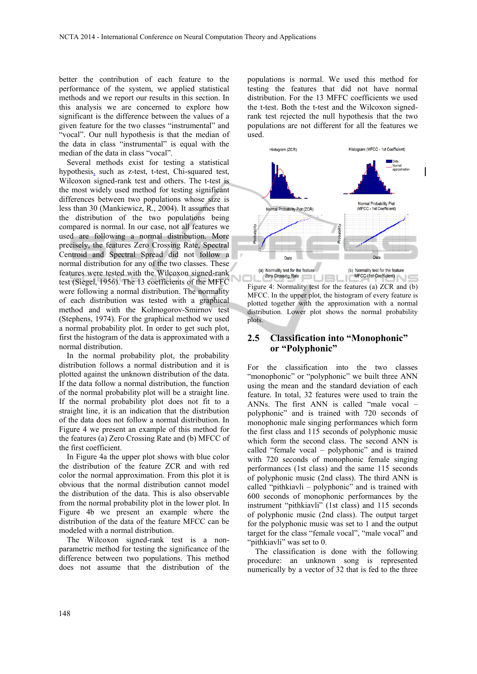better the contribution of each feature to the performance of the system, we applied statistical methods and we report our results in this section. In this analysis we are concerned to explore how significant is the difference between the values of a given feature for the two classes "instrumental" and "vocal". Our null hypothesis is that the median of the data in class "instrumental" is equal with the median of the data in class "vocal".

Several methods exist for testing a statistical hypothesis, such as z-test, t-test, Chi-squared test, Wilcoxon signed-rank test and others. The t-test is the most widely used method for testing significant differences between two populations whose size is less than 30 (Mankiewicz, R., 2004). It assumes that the distribution of the two populations being compared is normal. In our case, not all features we used are following a normal distribution. More precisely, the features Zero Crossing Rate, Spectral Centroid and Spectral Spread did not follow a normal distribution for any of the two classes. These features were tested with the Wilcoxon signed-rank test (Siegel, 1956). The 13 coefficients of the MFFC were following a normal distribution. The normality of each distribution was tested with a graphical method and with the Kolmogorov-Smirnov test (Stephens, 1974). For the graphical method we used a normal probability plot. In order to get such plot, first the histogram of the data is approximated with a normal distribution.

In the normal probability plot, the probability distribution follows a normal distribution and it is plotted against the unknown distribution of the data. If the data follow a normal distribution, the function of the normal probability plot will be a straight line. If the normal probability plot does not fit to a straight line, it is an indication that the distribution of the data does not follow a normal distribution. In Figure 4 we present an example of this method for the features (a) Zero Crossing Rate and (b) MFCC of the first coefficient.

In Figure 4a the upper plot shows with blue color the distribution of the feature ZCR and with red color the normal approximation. From this plot it is obvious that the normal distribution cannot model the distribution of the data. This is also observable from the normal probability plot in the lower plot. In Figure 4b we present an example where the distribution of the data of the feature MFCC can be modeled with a normal distribution.

The Wilcoxon signed-rank test is a nonparametric method for testing the significance of the difference between two populations. This method does not assume that the distribution of the

populations is normal. We used this method for testing the features that did not have normal distribution. For the 13 MFFC coefficients we used the t-test. Both the t-test and the Wilcoxon signedrank test rejected the null hypothesis that the two populations are not different for all the features we used.



Figure 4: Normality test for the features (a) ZCR and (b) MFCC. In the upper plot, the histogram of every feature is plotted together with the approximation with a normal distribution. Lower plot shows the normal probability plots.

## **2.5 Classification into "Monophonic" or "Polyphonic"**

For the classification into the two classes "monophonic" or "polyphonic" we built three ANN using the mean and the standard deviation of each feature. In total, 32 features were used to train the ANNs. The first ANN is called "male vocal – polyphonic" and is trained with 720 seconds of monophonic male singing performances which form the first class and 115 seconds of polyphonic music which form the second class. The second ANN is called "female vocal – polyphonic" and is trained with 720 seconds of monophonic female singing performances (1st class) and the same 115 seconds of polyphonic music (2nd class). The third ANN is called "pithkiavli – polyphonic" and is trained with 600 seconds of monophonic performances by the instrument "pithkiavli" (1st class) and 115 seconds of polyphonic music (2nd class). The output target for the polyphonic music was set to 1 and the output target for the class "female vocal", "male vocal" and "pithkiavli" was set to 0.

The classification is done with the following procedure: an unknown song is represented numerically by a vector of 32 that is fed to the three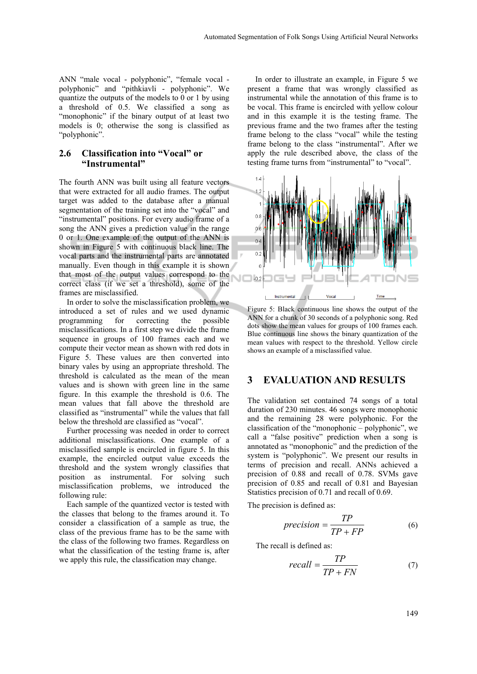ANN "male vocal - polyphonic", "female vocal polyphonic" and "pithkiavli - polyphonic". We quantize the outputs of the models to 0 or 1 by using a threshold of 0.5. We classified a song as "monophonic" if the binary output of at least two models is 0; otherwise the song is classified as "polyphonic".

# **2.6 Classification into "Vocal" or "Instrumental"**

The fourth ANN was built using all feature vectors that were extracted for all audio frames. The output target was added to the database after a manual segmentation of the training set into the "vocal" and "instrumental" positions. For every audio frame of a song the ANN gives a prediction value in the range 0 or 1. One example of the output of the ANN is shown in Figure 5 with continuous black line. The vocal parts and the instrumental parts are annotated manually. Even though in this example it is shown that most of the output values correspond to the correct class (if we set a threshold), some of the frames are misclassified.

In order to solve the misclassification problem, we introduced a set of rules and we used dynamic programming for correcting the possible misclassifications. In a first step we divide the frame sequence in groups of 100 frames each and we compute their vector mean as shown with red dots in Figure 5. These values are then converted into binary vales by using an appropriate threshold. The threshold is calculated as the mean of the mean values and is shown with green line in the same figure. In this example the threshold is 0.6. The mean values that fall above the threshold are classified as "instrumental" while the values that fall below the threshold are classified as "vocal".

Further processing was needed in order to correct additional misclassifications. One example of a misclassified sample is encircled in figure 5. In this example, the encircled output value exceeds the threshold and the system wrongly classifies that position as instrumental. For solving such misclassification problems, we introduced the following rule:

Each sample of the quantized vector is tested with the classes that belong to the frames around it. To consider a classification of a sample as true, the class of the previous frame has to be the same with the class of the following two frames. Regardless on what the classification of the testing frame is, after we apply this rule, the classification may change.

In order to illustrate an example, in Figure 5 we present a frame that was wrongly classified as instrumental while the annotation of this frame is to be vocal. This frame is encircled with yellow colour and in this example it is the testing frame. The previous frame and the two frames after the testing frame belong to the class "vocal" while the testing frame belong to the class "instrumental". After we apply the rule described above, the class of the testing frame turns from "instrumental" to "vocal".



Figure 5: Black continuous line shows the output of the ANN for a chunk of 30 seconds of a polyphonic song. Red dots show the mean values for groups of 100 frames each. Blue continuous line shows the binary quantization of the mean values with respect to the threshold. Yellow circle shows an example of a misclassified value.

#### **3 EVALUATION AND RESULTS**

The validation set contained 74 songs of a total duration of 230 minutes. 46 songs were monophonic and the remaining 28 were polyphonic. For the classification of the "monophonic – polyphonic", we call a "false positive" prediction when a song is annotated as "monophonic" and the prediction of the system is "polyphonic". We present our results in terms of precision and recall. ANNs achieved a precision of 0.88 and recall of 0.78. SVMs gave precision of 0.85 and recall of 0.81 and Bayesian Statistics precision of 0.71 and recall of 0.69.

The precision is defined as:

$$
precision = \frac{TP}{TP + FP}
$$
 (6)

The recall is defined as:

$$
recall = \frac{TP}{TP + FN} \tag{7}
$$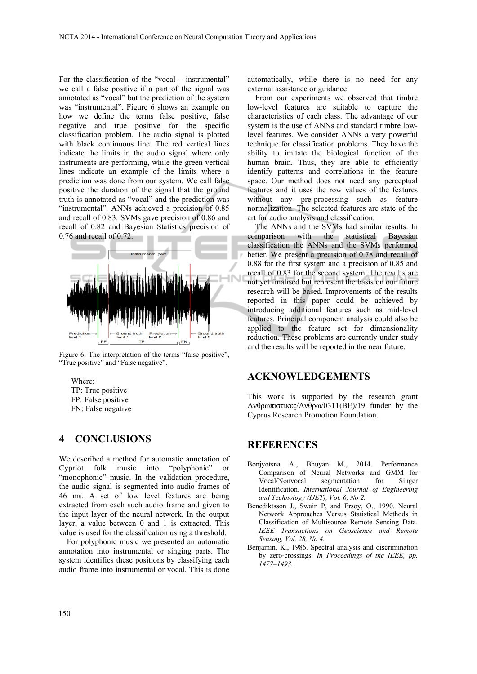For the classification of the "vocal – instrumental" we call a false positive if a part of the signal was annotated as "vocal" but the prediction of the system was "instrumental". Figure 6 shows an example on how we define the terms false positive, false negative and true positive for the specific classification problem. The audio signal is plotted with black continuous line. The red vertical lines indicate the limits in the audio signal where only instruments are performing, while the green vertical lines indicate an example of the limits where a prediction was done from our system. We call false positive the duration of the signal that the ground truth is annotated as "vocal" and the prediction was "instrumental". ANNs achieved a precision of 0.85 and recall of 0.83. SVMs gave precision of 0.86 and recall of 0.82 and Bayesian Statistics precision of 0.76 and recall of 0.72.



Figure 6: The interpretation of the terms "false positive", "True positive" and "False negative".

Where: TP: True positive FP: False positive FN: False negative

# **4 CONCLUSIONS**

We described a method for automatic annotation of Cypriot folk music into "polyphonic" or "monophonic" music. In the validation procedure, the audio signal is segmented into audio frames of 46 ms. A set of low level features are being extracted from each such audio frame and given to the input layer of the neural network. In the output layer, a value between 0 and 1 is extracted. This value is used for the classification using a threshold.

For polyphonic music we presented an automatic annotation into instrumental or singing parts. The system identifies these positions by classifying each audio frame into instrumental or vocal. This is done automatically, while there is no need for any external assistance or guidance.

From our experiments we observed that timbre low-level features are suitable to capture the characteristics of each class. The advantage of our system is the use of ANNs and standard timbre lowlevel features. We consider ANNs a very powerful technique for classification problems. They have the ability to imitate the biological function of the human brain. Thus, they are able to efficiently identify patterns and correlations in the feature space. Our method does not need any perceptual features and it uses the row values of the features without any pre-processing such as feature normalization. The selected features are state of the art for audio analysis and classification.

The ANNs and the SVMs had similar results. In comparison with the statistical Bayesian classification the ANNs and the SVMs performed better. We present a precision of 0.78 and recall of 0.88 for the first system and a precision of 0.85 and recall of 0.83 for the second system. The results are not yet finalised but represent the basis on our future research will be based. Improvements of the results reported in this paper could be achieved by introducing additional features such as mid-level features. Principal component analysis could also be applied to the feature set for dimensionality reduction. These problems are currently under study and the results will be reported in the near future.

# **ACKNOWLEDGEMENTS**

This work is supported by the research grant Ανθρωπιστικες/Ανθρω/0311(ΒΕ)/19 funder by the Cyprus Research Promotion Foundation.

# **REFERENCES**

- Bonjyotsna A., Bhuyan M., 2014. Performance Comparison of Neural Networks and GMM for Vocal/Nonvocal segmentation for Singer Identification. *International Journal of Engineering and Technology (IJET), Vol. 6, No 2.*
- Benediktsson J., Swain P, and Ersoy, O., 1990. Neural Network Approaches Versus Statistical Methods in Classification of Multisource Remote Sensing Data. *IEEE Transactions on Geoscience and Remote Sensing, Vol. 28, No 4.*
- Benjamin, K., 1986. Spectral analysis and discrimination by zero-crossings. *In Proceedings of the IEEE, pp. 1477–1493.*